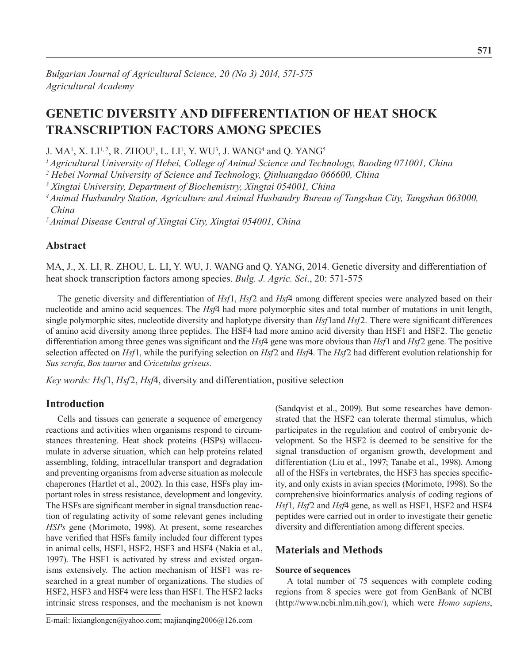# **Genetic Diversity and Differentiation of Heat Shock Transcription Factors among Species**

J. MA<sup>1</sup>, X. LI<sup>1, 2</sup>, R. ZHOU<sup>1</sup>, L. LI<sup>1</sup>, Y. WU<sup>3</sup>, J. WANG<sup>4</sup> and Q. YANG<sup>5</sup>

*1 Agricultural University of Hebei, College of Animal Science and Technology, Baoding 071001, China*

<sup>2</sup> Hebei Normal University of Science and Technology, Qinhuangdao 066600, China

*3 Xingtai University, Department of Biochemistry, Xingtai 054001, China*

*4 Animal Husbandry Station, Agriculture and Animal Husbandry Bureau of Tangshan City, Tangshan 063000, China* 

*5 Animal Disease Central of Xingtai City, Xingtai 054001, China*

## **Abstract**

Ma, J., X. Li, R. Zhou, L. Li, Y. Wu, J. Wang and Q. Yang, 2014. Genetic diversity and differentiation of heat shock transcription factors among species. *Bulg. J. Agric. Sci*., 20: 571-575

The genetic diversity and differentiation of *Hsf*1, *Hsf*2 and *Hsf*4 among different species were analyzed based on their nucleotide and amino acid sequences. The *Hsf*4 had more polymorphic sites and total number of mutations in unit length, single polymorphic sites, nucleotide diversity and haplotype diversity than *Hsf*1and *Hsf*2. There were significant differences of amino acid diversity among three peptides. The HSF4 had more amino acid diversity than HSF1 and HSF2. The genetic differentiation among three genes was significant and the *Hsf*4 gene was more obvious than *Hsf*1 and *Hsf*2 gene. The positive selection affected on *Hsf*1, while the purifying selection on *Hsf*2 and *Hsf*4. The *Hsf*2 had different evolution relationship for *Sus scrofa*, *Bos taurus* and *Cricetulus griseus*.

*Key words: Hsf*1, *Hsf*2, *Hsf*4, diversity and differentiation, positive selection

# **Introduction**

Cells and tissues can generate a sequence of emergency reactions and activities when organisms respond to circumstances threatening. Heat shock proteins (HSPs) willaccumulate in adverse situation, which can help proteins related assembling, folding, intracellular transport and degradation and preventing organisms from adverse situation as molecule chaperones (Hartlet et al., 2002). In this case, HSFs play important roles in stress resistance, development and longevity. The HSFs are significant member in signal transduction reaction of regulating activity of some relevant genes including *HSPs* gene (Morimoto, 1998). At present, some researches have verified that HSFs family included four different types in animal cells, HSF1, HSF2, HSF3 and HSF4 (Nakia et al., 1997). The HSF1 is activated by stress and existed organisms extensively. The action mechanism of HSF1 was researched in a great number of organizations. The studies of HSF2, HSF3 and HSF4 were less than HSF1. The HSF2 lacks intrinsic stress responses, and the mechanism is not known

E-mail: lixianglongcn@yahoo.com; majianqing2006@126.com

(Sandqvist et al., 2009). But some researches have demonstrated that the HSF2 can tolerate thermal stimulus, which participates in the regulation and control of embryonic development. So the HSF2 is deemed to be sensitive for the signal transduction of organism growth, development and differentiation (Liu et al., 1997; Tanabe et al., 1998). Among all of the HSFs in vertebrates, the HSF3 has species specificity, and only exists in avian species (Morimoto, 1998). So the comprehensive bioinformatics analysis of coding regions of *Hsf*1*, Hsf*2 and *Hsf*4 gene, as well as HSF1, HSF2 and HSF4 peptides were carried out in order to investigate their genetic diversity and differentiation among different species.

# **Materials and Methods**

#### **Source of sequences**

A total number of 75 sequences with complete coding regions from 8 species were got from GenBank of NCBI (http://www.ncbi.nlm.nih.gov/), which were *Homo sapiens*,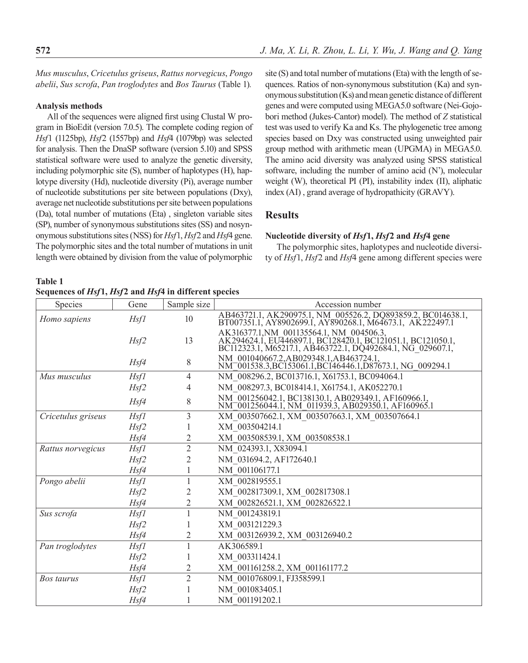*Mus musculus*, *Cricetulus griseus*, *Rattus norvegicus*, *Pongo abelii*, *Sus scrofa*, *Pan troglodytes* and *Bos Taurus* (Table 1)*.*

#### **Analysis methods**

All of the sequences were aligned first using Clustal W program in BioEdit (version 7.0.5). The complete coding region of *Hsf*1 (1125bp), *Hsf*2 (1557bp) and *Hsf*4 (1079bp) was selected for analysis. Then the DnaSP software (version 5.10) and SPSS statistical software were used to analyze the genetic diversity, including polymorphic site (S), number of haplotypes (H), haplotype diversity (Hd), nucleotide diversity (Pi), average number of nucleotide substitutions per site between populations (Dxy), average net nucleotide substitutions per site between populations (Da), total number of mutations (Eta) , singleton variable sites (SP), number of synonymous substitutions sites (SS) and nosynonymous substitutions sites (NSS) for *Hsf*1, *Hsf*2 and *Hsf*4 gene. The polymorphic sites and the total number of mutations in unit length were obtained by division from the value of polymorphic

**Table 1 Sequences of** *Hsf***1,** *Hsf***2 and** *Hsf***4 in different species**

site (S) and total number of mutations (Eta) with the length of sequences. Ratios of non-synonymous substitution (Ka) and synonymous substitution (Ks) and mean genetic distance of different genes and were computed using MEGA5.0 software (Nei-Gojobori method (Jukes-Cantor) model). The method of *Z* statistical test was used to verify Ka and Ks. The phylogenetic tree among species based on Dxy was constructed using unweighted pair group method with arithmetic mean (UPGMA) in MEGA5.0. The amino acid diversity was analyzed using SPSS statistical software, including the number of amino acid (N'), molecular weight (W), theoretical PI (PI), instability index (II), aliphatic index (AI) , grand average of hydropathicity (GRAVY).

# **Results**

#### **Nucleotide diversity of** *Hsf***1,** *Hsf***2 and** *Hsf***4 gene**

The polymorphic sites, haplotypes and nucleotide diversity of *Hsf*1, *Hsf*2 and *Hsf*4 gene among different species were

| <b>Species</b>     | Gene              | Sample size    | Accession number                                                                                                                                                     |
|--------------------|-------------------|----------------|----------------------------------------------------------------------------------------------------------------------------------------------------------------------|
| Homo sapiens       | Hsfl              | 10             | AB463721.1, AK290975.1, NM 005526.2, DQ893859.2, BC014638.1, BT007351.1, AY8902699.1, AY890268.1, M64673.1, AK222497.1                                               |
|                    | Hsf2              | 13             | AK316377.1,NM 001135564.1, NM 004506.3,<br>AK294624.1, EU446897.1, BC128420.1, BC121051.1, BC121050.1,<br>BC112323.1, M65217.1, AB463722.1, DQ492684.1, NG_029607.1, |
|                    | Hsf4              | 8              | NM_001040667.2, AB029348.1, AB463724.1,<br>NM_001538.3, BC153061.1, BC146446.1, D87673.1, NG_009294.1                                                                |
| Mus musculus       | Hsf1              | 4              | NM 008296.2, BC013716.1, X61753.1, BC094064.1                                                                                                                        |
|                    | Hsf2              | 4              | NM 008297.3, BC018414.1, X61754.1, AK052270.1                                                                                                                        |
|                    | Hsf4              | 8              | NM 001256042.1, BC138130.1, AB029349.1, AF160966.1, NM 001256044.1, NM 011939.3, AB029350.1, AF160965.1                                                              |
| Cricetulus griseus | <b>Hsf1</b>       | 3              | XM 003507662.1, XM 003507663.1, XM 003507664.1                                                                                                                       |
|                    | Hsf2              |                | XM 003504214.1                                                                                                                                                       |
|                    | Hsf4              | 2              | XM 003508539.1, XM 003508538.1                                                                                                                                       |
| Rattus norvegicus  | Hsf1              | $\overline{2}$ | NM 024393.1, X83094.1                                                                                                                                                |
|                    | Hsf2              |                | NM 031694.2, AF172640.1                                                                                                                                              |
|                    | Hsf4              |                | NM 001106177.1                                                                                                                                                       |
| Pongo abelii       | Hsfl              |                | XM 002819555.1                                                                                                                                                       |
|                    | H <sub>S</sub> f2 | 2              | XM 002817309.1, XM 002817308.1                                                                                                                                       |
|                    | Hsf4              | 2              | XM 002826521.1, XM 002826522.1                                                                                                                                       |
| Sus scrofa         | Hsfl              |                | NM 001243819.1                                                                                                                                                       |
|                    | Hsf2              |                | XM 003121229.3                                                                                                                                                       |
|                    | Hsf4              | 2              | XM 003126939.2, XM 003126940.2                                                                                                                                       |
| Pan troglodytes    | Hsf1              |                | AK306589.1                                                                                                                                                           |
|                    | Hsf2              |                | XM 003311424.1                                                                                                                                                       |
|                    | Hsf4              | 2              | XM 001161258.2, XM 001161177.2                                                                                                                                       |
| Bos taurus         | <b>Hsf1</b>       | $\overline{2}$ | NM 001076809.1, FJ358599.1                                                                                                                                           |
|                    | Hsf2              |                | NM 001083405.1                                                                                                                                                       |
|                    | Hsf4              |                | NM 001191202.1                                                                                                                                                       |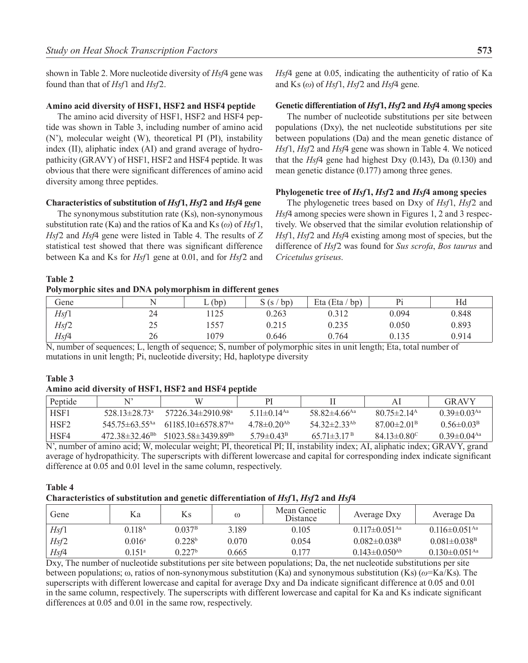shown in Table 2. More nucleotide diversity of *Hsf*4 gene was found than that of *Hsf*1 and *Hsf*2.

#### **Amino acid diversity of HSF1, HSF2 and HSF4 peptide**

The amino acid diversity of HSF1, HSF2 and HSF4 peptide was shown in Table 3, including number of amino acid (N'), molecular weight (W), theoretical PI (PI), instability index (II), aliphatic index (AI) and grand average of hydropathicity (GRAVY) of HSF1, HSF2 and HSF4 peptide. It was obvious that there were significant differences of amino acid diversity among three peptides.

#### **Characteristics of substitution of** *Hsf***1,** *Hsf***2 and** *Hsf***4 gene**

The synonymous substitution rate (Ks), non-synonymous substitution rate (Ka) and the ratios of Ka and Ks (*ω*) of *Hsf*1, *Hsf*2 and *Hsf*4 gene were listed in Table 4. The results of *Z*  statistical test showed that there was significant difference between Ka and Ks for *Hsf*1 gene at 0.01, and for *Hsf*2 and

*Hsf*4 gene at 0.05, indicating the authenticity of ratio of Ka and Ks (*ω*) of *Hsf*1, *Hsf*2 and *Hsf*4 gene.

#### **Genetic differentiation of** *Hsf***1,** *Hsf***2 and** *Hsf***4 among species**

The number of nucleotide substitutions per site between populations (Dxy), the net nucleotide substitutions per site between populations (Da) and the mean genetic distance of *Hsf*1, *Hsf*2 and *Hsf*4 gene was shown in Table 4. We noticed that the *Hsf*4 gene had highest Dxy (0.143), Da (0.130) and mean genetic distance (0.177) among three genes.

#### **Phylogenetic tree of** *Hsf***1,** *Hsf***2 and** *Hsf***4 among species**

The phylogenetic trees based on Dxy of *Hsf*1, *Hsf*2 and *Hsf*4 among species were shown in Figures 1, 2 and 3 respectively. We observed that the similar evolution relationship of *Hsf*1, *Hsf*2 and *Hsf*4 existing among most of species, but the difference of *Hsf*2 was found for *Sus scrofa*, *Bos taurus* and *Cricetulus griseus*.

#### **Table 2**

## **Polymorphic sites and DNA polymorphism in different genes**

| Gene | N  | (bp) | $'$ bp)<br>S(s/ | Eta (Eta<br>$'$ bp) |       | Hd    |
|------|----|------|-----------------|---------------------|-------|-------|
| Hsf1 | 24 | .125 | 0.263           | 0.312               | 0.094 | 0.848 |
| Hsf2 | 25 | 1557 | 0.215           | 0.235               | 0.050 | 0.893 |
| Hsf4 | 26 | 1079 | 0.646           | 0.764               | 0.135 | 0.914 |

N, number of sequences; L, length of sequence; S, number of polymorphic sites in unit length; Eta, total number of mutations in unit length; Pi, nucleotide diversity; Hd, haplotype diversity

### **Table 3**

#### **Amino acid diversity of HSF1, HSF2 and HSF4 peptide**

| Peptide          |                                 |                                                                   | РI                            |                                |                           | <b>GRAVY</b>                  |
|------------------|---------------------------------|-------------------------------------------------------------------|-------------------------------|--------------------------------|---------------------------|-------------------------------|
| HSF1             | 528 13 $\pm$ 28 73 <sup>a</sup> | 57226 34±2910 98 <sup>a</sup>                                     | 5 11 $\pm$ 0 14 <sup>Aa</sup> | 58.82 $\pm$ 4.66 <sup>Aa</sup> | $8075\pm214$ <sup>A</sup> | $0.39 \pm 0.03$ <sup>Aa</sup> |
| HSF <sub>2</sub> |                                 | $54575\pm6355$ <sup>Aa</sup> 61185 10 $\pm$ 6578 87 <sup>Aa</sup> | $478\pm0.20^{Ab}$             | $54.32 \pm 2.33$ <sup>Ab</sup> | $8700\pm201$ <sup>B</sup> | $0.56 \pm 0.03^{\circ}$       |
| HSF4             |                                 | $472.38\pm32.46^{Bb}$ 51023 58 $\pm$ 3439 89 <sup>Bb</sup>        | $579 \pm 0.43^{\rm B}$        | $6571\pm317B$                  | $84.13 \pm 0.80$          | 0 39 $\pm$ 0 04 <sup>Aa</sup> |

N', number of amino acid; W, molecular weight; PI, theoretical PI; II, instability index; AI, aliphatic index; GRAVY, grand average of hydropathicity. The superscripts with different lowercase and capital for corresponding index indicate significant difference at 0.05 and 0.01 level in the same column, respectively.

### **Table 4**

#### **Characteristics of substitution and genetic differentiation of** *Hsf***1,** *Hsf***2 and** *Hsf***4**

| Gene | Ka                   | Κs                 | $^\omega$ | Mean Genetic<br><b>Distance</b> | Average Dxy                     | Average Da                      |
|------|----------------------|--------------------|-----------|---------------------------------|---------------------------------|---------------------------------|
| Hsf1 | 0.118 <sup>a</sup>   | $0.037^{\rm B}$    | 3.189     | 0.105                           | $0.117 \pm 0.051$ <sup>Aa</sup> | $0.116 \pm 0.051$ <sup>Aa</sup> |
| Hsf2 | $0.016^{\rm a}$      | 0.228 <sup>b</sup> | 0.070     | 0.054                           | $0.082 \pm 0.038$ <sup>B</sup>  | $0.081 \pm 0.038$ <sup>B</sup>  |
| Hsf4 | $0.151$ <sup>a</sup> | 0.227 <sup>b</sup> | 0.665     | 0.177                           | $0.143 \pm 0.050$ <sup>Ab</sup> | $0.130 \pm 0.051$ <sup>Aa</sup> |

Dxy, The number of nucleotide substitutions per site between populations; Da, the net nucleotide substitutions per site between populations; ω, ratios of non-synonymous substitution (Ka) and synonymous substitution (Ks) (*ω*=Ka/Ks). The superscripts with different lowercase and capital for average Dxy and Da indicate significant difference at 0.05 and 0.01 in the same column, respectively. The superscripts with different lowercase and capital for Ka and Ks indicate significant differences at 0.05 and 0.01 in the same row, respectively.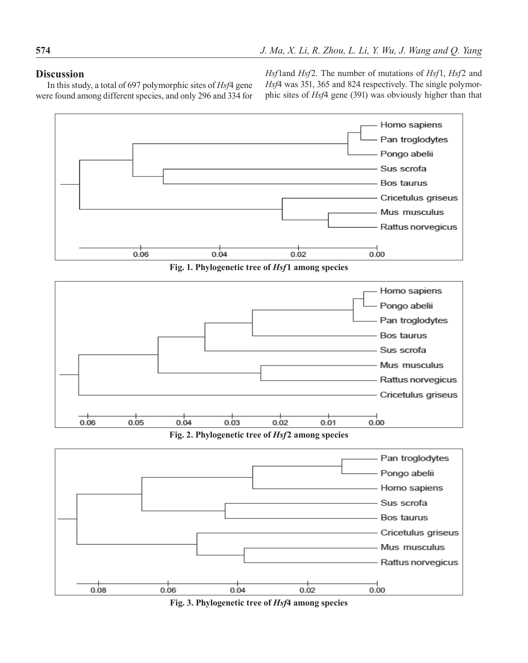# **Discussion**

In this study, a total of 697 polymorphic sites of *Hsf*4 gene were found among different species, and only 296 and 334 for *Hsf*1and *Hsf*2. The number of mutations of *Hsf*1, *Hsf*2 and *Hsf*4 was 351, 365 and 824 respectively. The single polymorphic sites of *Hsf*4 gene (391) was obviously higher than that



**Fig. 1. Phylogenetic tree of** *Hsf***1 among species**



**Fig. 2. Phylogenetic tree of** *Hsf***2 among species**